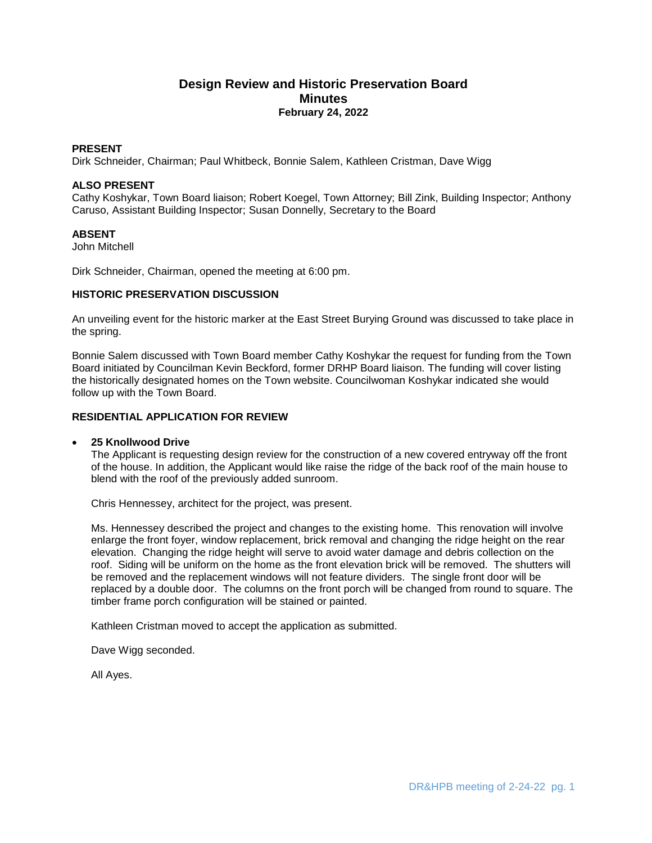# **Design Review and Historic Preservation Board Minutes February 24, 2022**

# **PRESENT**

Dirk Schneider, Chairman; Paul Whitbeck, Bonnie Salem, Kathleen Cristman, Dave Wigg

#### **ALSO PRESENT**

Cathy Koshykar, Town Board liaison; Robert Koegel, Town Attorney; Bill Zink, Building Inspector; Anthony Caruso, Assistant Building Inspector; Susan Donnelly, Secretary to the Board

## **ABSENT**

John Mitchell

Dirk Schneider, Chairman, opened the meeting at 6:00 pm.

## **HISTORIC PRESERVATION DISCUSSION**

An unveiling event for the historic marker at the East Street Burying Ground was discussed to take place in the spring.

Bonnie Salem discussed with Town Board member Cathy Koshykar the request for funding from the Town Board initiated by Councilman Kevin Beckford, former DRHP Board liaison. The funding will cover listing the historically designated homes on the Town website. Councilwoman Koshykar indicated she would follow up with the Town Board.

## **RESIDENTIAL APPLICATION FOR REVIEW**

#### **25 Knollwood Drive**

The Applicant is requesting design review for the construction of a new covered entryway off the front of the house. In addition, the Applicant would like raise the ridge of the back roof of the main house to blend with the roof of the previously added sunroom.

Chris Hennessey, architect for the project, was present.

Ms. Hennessey described the project and changes to the existing home. This renovation will involve enlarge the front foyer, window replacement, brick removal and changing the ridge height on the rear elevation. Changing the ridge height will serve to avoid water damage and debris collection on the roof. Siding will be uniform on the home as the front elevation brick will be removed. The shutters will be removed and the replacement windows will not feature dividers. The single front door will be replaced by a double door. The columns on the front porch will be changed from round to square. The timber frame porch configuration will be stained or painted.

Kathleen Cristman moved to accept the application as submitted.

Dave Wigg seconded.

All Ayes.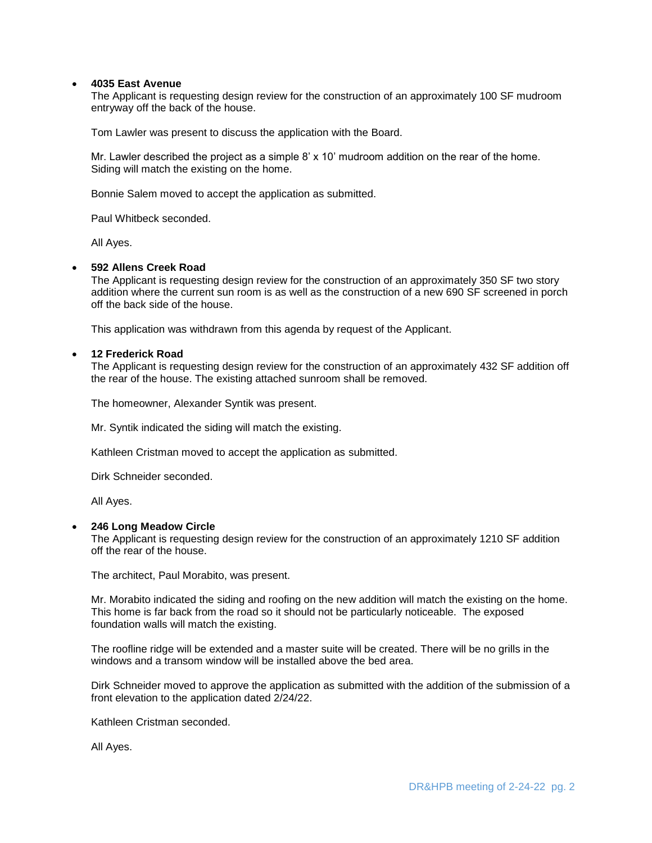# **4035 East Avenue**

The Applicant is requesting design review for the construction of an approximately 100 SF mudroom entryway off the back of the house.

Tom Lawler was present to discuss the application with the Board.

Mr. Lawler described the project as a simple 8' x 10' mudroom addition on the rear of the home. Siding will match the existing on the home.

Bonnie Salem moved to accept the application as submitted.

Paul Whitbeck seconded.

All Ayes.

#### **592 Allens Creek Road**

The Applicant is requesting design review for the construction of an approximately 350 SF two story addition where the current sun room is as well as the construction of a new 690 SF screened in porch off the back side of the house.

This application was withdrawn from this agenda by request of the Applicant.

#### **12 Frederick Road**

The Applicant is requesting design review for the construction of an approximately 432 SF addition off the rear of the house. The existing attached sunroom shall be removed.

The homeowner, Alexander Syntik was present.

Mr. Syntik indicated the siding will match the existing.

Kathleen Cristman moved to accept the application as submitted.

Dirk Schneider seconded.

All Ayes.

#### **246 Long Meadow Circle**

The Applicant is requesting design review for the construction of an approximately 1210 SF addition off the rear of the house.

The architect, Paul Morabito, was present.

Mr. Morabito indicated the siding and roofing on the new addition will match the existing on the home. This home is far back from the road so it should not be particularly noticeable. The exposed foundation walls will match the existing.

The roofline ridge will be extended and a master suite will be created. There will be no grills in the windows and a transom window will be installed above the bed area.

Dirk Schneider moved to approve the application as submitted with the addition of the submission of a front elevation to the application dated 2/24/22.

Kathleen Cristman seconded.

All Ayes.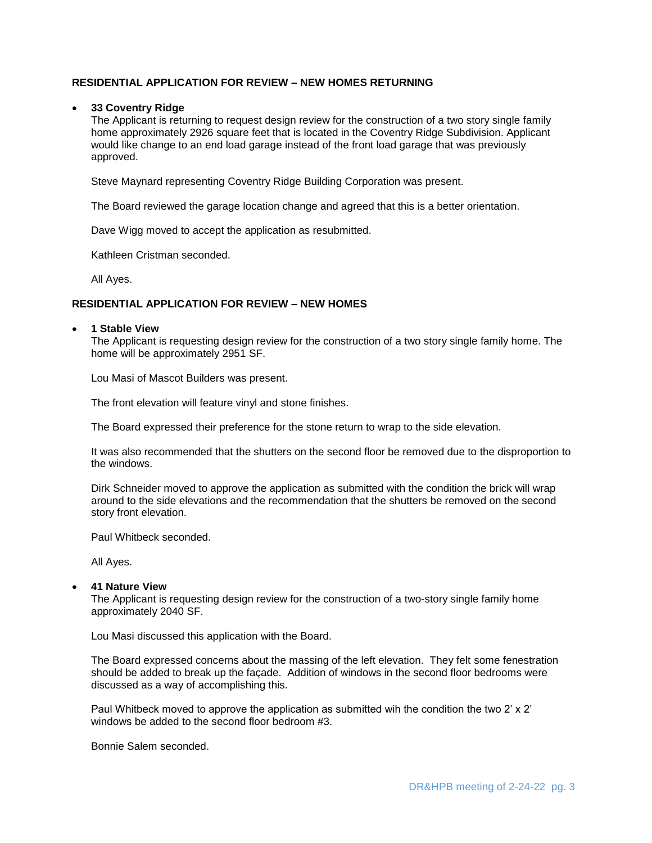# **RESIDENTIAL APPLICATION FOR REVIEW – NEW HOMES RETURNING**

### **33 Coventry Ridge**

The Applicant is returning to request design review for the construction of a two story single family home approximately 2926 square feet that is located in the Coventry Ridge Subdivision. Applicant would like change to an end load garage instead of the front load garage that was previously approved.

Steve Maynard representing Coventry Ridge Building Corporation was present.

The Board reviewed the garage location change and agreed that this is a better orientation.

Dave Wigg moved to accept the application as resubmitted.

Kathleen Cristman seconded.

All Ayes.

## **RESIDENTIAL APPLICATION FOR REVIEW – NEW HOMES**

#### **1 Stable View**

The Applicant is requesting design review for the construction of a two story single family home. The home will be approximately 2951 SF.

Lou Masi of Mascot Builders was present.

The front elevation will feature vinyl and stone finishes.

The Board expressed their preference for the stone return to wrap to the side elevation.

It was also recommended that the shutters on the second floor be removed due to the disproportion to the windows.

Dirk Schneider moved to approve the application as submitted with the condition the brick will wrap around to the side elevations and the recommendation that the shutters be removed on the second story front elevation.

Paul Whitbeck seconded.

All Ayes.

## **41 Nature View**

The Applicant is requesting design review for the construction of a two-story single family home approximately 2040 SF.

Lou Masi discussed this application with the Board.

The Board expressed concerns about the massing of the left elevation. They felt some fenestration should be added to break up the façade. Addition of windows in the second floor bedrooms were discussed as a way of accomplishing this.

Paul Whitbeck moved to approve the application as submitted wih the condition the two 2' x 2' windows be added to the second floor bedroom #3.

Bonnie Salem seconded.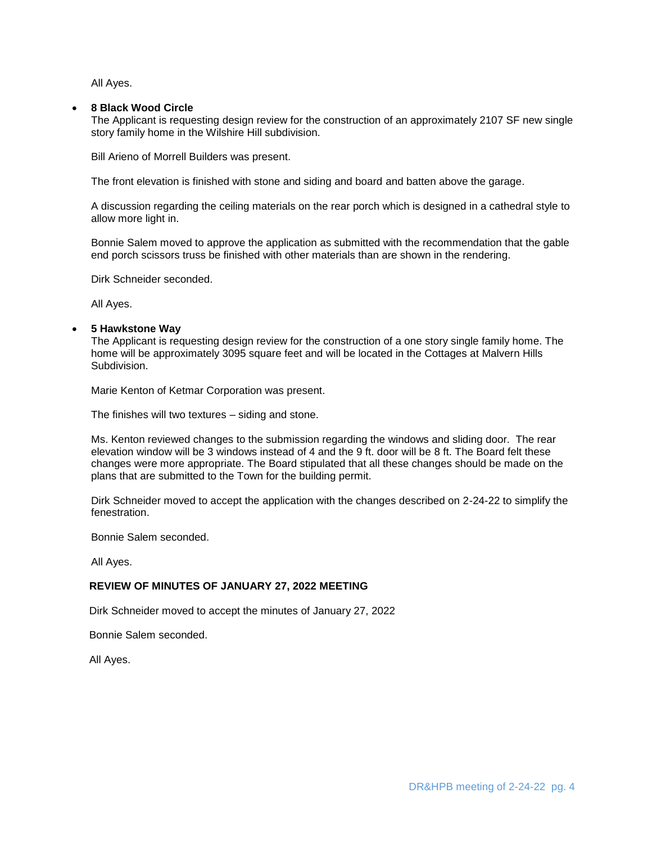All Ayes.

# **8 Black Wood Circle**

The Applicant is requesting design review for the construction of an approximately 2107 SF new single story family home in the Wilshire Hill subdivision.

Bill Arieno of Morrell Builders was present.

The front elevation is finished with stone and siding and board and batten above the garage.

A discussion regarding the ceiling materials on the rear porch which is designed in a cathedral style to allow more light in.

Bonnie Salem moved to approve the application as submitted with the recommendation that the gable end porch scissors truss be finished with other materials than are shown in the rendering.

Dirk Schneider seconded.

All Ayes.

## **5 Hawkstone Way**

The Applicant is requesting design review for the construction of a one story single family home. The home will be approximately 3095 square feet and will be located in the Cottages at Malvern Hills Subdivision.

Marie Kenton of Ketmar Corporation was present.

The finishes will two textures – siding and stone.

Ms. Kenton reviewed changes to the submission regarding the windows and sliding door. The rear elevation window will be 3 windows instead of 4 and the 9 ft. door will be 8 ft. The Board felt these changes were more appropriate. The Board stipulated that all these changes should be made on the plans that are submitted to the Town for the building permit.

Dirk Schneider moved to accept the application with the changes described on 2-24-22 to simplify the fenestration.

Bonnie Salem seconded.

All Ayes.

# **REVIEW OF MINUTES OF JANUARY 27, 2022 MEETING**

Dirk Schneider moved to accept the minutes of January 27, 2022

Bonnie Salem seconded.

All Ayes.